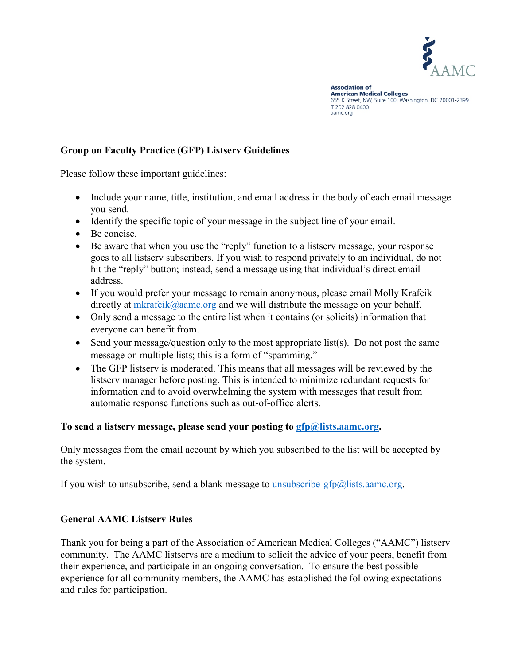

**Association of American Medical Colleges** 655 K Street, NW, Suite 100, Washington, DC 20001-2399 T 202 828 0400 aamc.org

## **Group on Faculty Practice (GFP) Listserv Guidelines**

Please follow these important guidelines:

- Include your name, title, institution, and email address in the body of each email message you send.
- Identify the specific topic of your message in the subject line of your email.
- Be concise.
- Be aware that when you use the "reply" function to a listserv message, your response goes to all listserv subscribers. If you wish to respond privately to an individual, do not hit the "reply" button; instead, send a message using that individual's direct email address.
- If you would prefer your message to remain anonymous, please email Molly Krafcik directly at  $mkrafcik@aame.org$  and we will distribute the message on your behalf.
- Only send a message to the entire list when it contains (or solicits) information that everyone can benefit from.
- Send your message/question only to the most appropriate list(s). Do not post the same message on multiple lists; this is a form of "spamming."
- The GFP listserv is moderated. This means that all messages will be reviewed by the listserv manager before posting. This is intended to minimize redundant requests for information and to avoid overwhelming the system with messages that result from automatic response functions such as out-of-office alerts.

#### **To send a listserv message, please send your posting to [gfp@lists.aamc.org.](mailto:gfp@lists.aamc.org)**

Only messages from the email account by which you subscribed to the list will be accepted by the system.

If you wish to unsubscribe, send a blank message to [unsubscribe-gfp@lists.aamc.org.](mailto:unsubscribe-gfp@lists.aamc.org)

#### **General AAMC Listserv Rules**

Thank you for being a part of the Association of American Medical Colleges ("AAMC") listserv community. The AAMC listservs are a medium to solicit the advice of your peers, benefit from their experience, and participate in an ongoing conversation. To ensure the best possible experience for all community members, the AAMC has established the following expectations and rules for participation.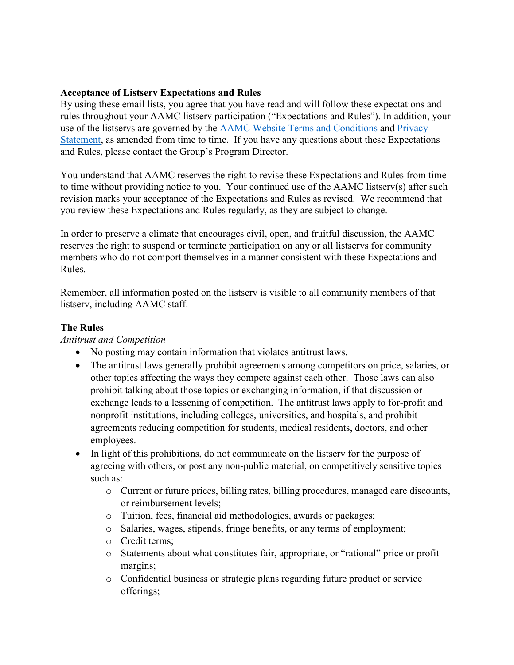#### **Acceptance of Listserv Expectations and Rules**

By using these email lists, you agree that you have read and will follow these expectations and rules throughout your AAMC listserv participation ("Expectations and Rules"). In addition, your use of the listservs are governed by the [AAMC Website Terms and Conditions](https://www.aamc.org/website-terms-conditions) and [Privacy](https://www.aamc.org/privacy)  [Statement,](https://www.aamc.org/privacy) as amended from time to time. If you have any questions about these Expectations and Rules, please contact the Group's Program Director.

You understand that AAMC reserves the right to revise these Expectations and Rules from time to time without providing notice to you. Your continued use of the AAMC listserv(s) after such revision marks your acceptance of the Expectations and Rules as revised. We recommend that you review these Expectations and Rules regularly, as they are subject to change.

In order to preserve a climate that encourages civil, open, and fruitful discussion, the AAMC reserves the right to suspend or terminate participation on any or all listservs for community members who do not comport themselves in a manner consistent with these Expectations and Rules.

Remember, all information posted on the listserv is visible to all community members of that listserv, including AAMC staff.

## **The Rules**

#### *Antitrust and Competition*

- No posting may contain information that violates antitrust laws.
- The antitrust laws generally prohibit agreements among competitors on price, salaries, or other topics affecting the ways they compete against each other. Those laws can also prohibit talking about those topics or exchanging information, if that discussion or exchange leads to a lessening of competition. The antitrust laws apply to for-profit and nonprofit institutions, including colleges, universities, and hospitals, and prohibit agreements reducing competition for students, medical residents, doctors, and other employees.
- In light of this prohibitions, do not communicate on the listserv for the purpose of agreeing with others, or post any non-public material, on competitively sensitive topics such as:
	- o Current or future prices, billing rates, billing procedures, managed care discounts, or reimbursement levels;
	- o Tuition, fees, financial aid methodologies, awards or packages;
	- o Salaries, wages, stipends, fringe benefits, or any terms of employment;
	- o Credit terms;
	- o Statements about what constitutes fair, appropriate, or "rational" price or profit margins;
	- o Confidential business or strategic plans regarding future product or service offerings;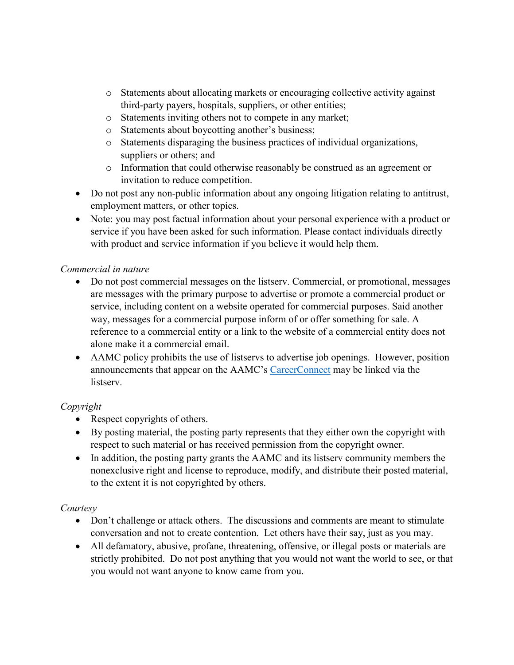- o Statements about allocating markets or encouraging collective activity against third-party payers, hospitals, suppliers, or other entities;
- o Statements inviting others not to compete in any market;
- o Statements about boycotting another's business;
- o Statements disparaging the business practices of individual organizations, suppliers or others; and
- o Information that could otherwise reasonably be construed as an agreement or invitation to reduce competition.
- Do not post any non-public information about any ongoing litigation relating to antitrust, employment matters, or other topics.
- Note: you may post factual information about your personal experience with a product or service if you have been asked for such information. Please contact individuals directly with product and service information if you believe it would help them.

## *Commercial in nature*

- Do not post commercial messages on the listserv. Commercial, or promotional, messages are messages with the primary purpose to advertise or promote a commercial product or service, including content on a website operated for commercial purposes. Said another way, messages for a commercial purpose inform of or offer something for sale. A reference to a commercial entity or a link to the website of a commercial entity does not alone make it a commercial email.
- AAMC policy prohibits the use of listservs to advertise job openings. However, position announcements that appear on the AAMC's [CareerConnect](https://careerconnect.aamc.org/) may be linked via the listserv.

# *Copyright*

- Respect copyrights of others.
- By posting material, the posting party represents that they either own the copyright with respect to such material or has received permission from the copyright owner.
- In addition, the posting party grants the AAMC and its listsery community members the nonexclusive right and license to reproduce, modify, and distribute their posted material, to the extent it is not copyrighted by others.

# *Courtesy*

- Don't challenge or attack others. The discussions and comments are meant to stimulate conversation and not to create contention. Let others have their say, just as you may.
- All defamatory, abusive, profane, threatening, offensive, or illegal posts or materials are strictly prohibited. Do not post anything that you would not want the world to see, or that you would not want anyone to know came from you.